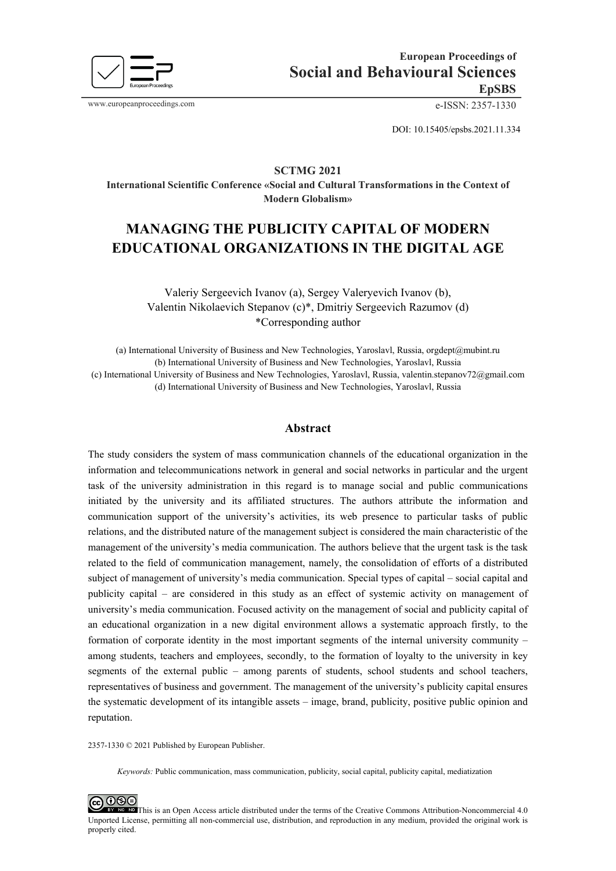

www.europeanproceedings.com e-ISSN: 2357-1330

DOI: 10.15405/epsbs.2021.11.334

## **SCTMG 2021**

**International Scientific Conference «Social and Cultural Transformations in the Context of Modern Globalism»** 

# **MANAGING THE PUBLICITY CAPITAL OF MODERN EDUCATIONAL ORGANIZATIONS IN THE DIGITAL AGE**

# Valeriy Sergeevich Ivanov (a), Sergey Valeryevich Ivanov (b), Valentin Nikolaevich Stepanov (c)\*, Dmitriy Sergeevich Razumov (d) \*Corresponding author

(a) International University of Business and New Technologies, Yaroslavl, Russia, orgdept@mubint.ru (b) International University of Business and New Technologies, Yaroslavl, Russia (c) International University of Business and New Technologies, Yaroslavl, Russia, valentin.stepanov72@gmail.com (d) International University of Business and New Technologies, Yaroslavl, Russia

#### **Abstract**

The study considers the system of mass communication channels of the educational organization in the information and telecommunications network in general and social networks in particular and the urgent task of the university administration in this regard is to manage social and public communications initiated by the university and its affiliated structures. The authors attribute the information and communication support of the university's activities, its web presence to particular tasks of public relations, and the distributed nature of the management subject is considered the main characteristic of the management of the university's media communication. The authors believe that the urgent task is the task related to the field of communication management, namely, the consolidation of efforts of a distributed subject of management of university's media communication. Special types of capital – social capital and publicity capital – are considered in this study as an effect of systemic activity on management of university's media communication. Focused activity on the management of social and publicity capital of an educational organization in a new digital environment allows a systematic approach firstly, to the formation of corporate identity in the most important segments of the internal university community – among students, teachers and employees, secondly, to the formation of loyalty to the university in key segments of the external public – among parents of students, school students and school teachers, representatives of business and government. The management of the university's publicity capital ensures the systematic development of its intangible assets – image, brand, publicity, positive public opinion and reputation.

2357-1330 © 2021 Published by European Publisher.

*Keywords:* Public communication, mass communication, publicity, social capital, publicity capital, mediatization

**@** 090 This is an Open Access article distributed under the terms of the Creative Commons Attribution-Noncommercial 4.0 Unported License, permitting all non-commercial use, distribution, and reproduction in any medium, provided the original work is properly cited.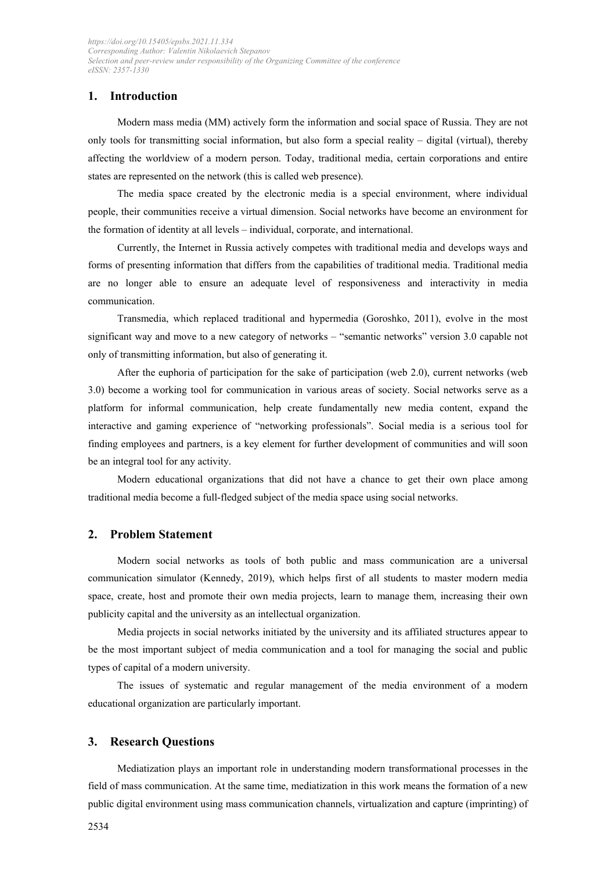# **1. Introduction**

Modern mass media (MM) actively form the information and social space of Russia. They are not only tools for transmitting social information, but also form a special reality – digital (virtual), thereby affecting the worldview of a modern person. Today, traditional media, certain corporations and entire states are represented on the network (this is called web presence).

The media space created by the electronic media is a special environment, where individual people, their communities receive a virtual dimension. Social networks have become an environment for the formation of identity at all levels – individual, corporate, and international.

Currently, the Internet in Russia actively competes with traditional media and develops ways and forms of presenting information that differs from the capabilities of traditional media. Traditional media are no longer able to ensure an adequate level of responsiveness and interactivity in media communication.

Transmedia, which replaced traditional and hypermedia (Goroshko, 2011), evolve in the most significant way and move to a new category of networks – "semantic networks" version 3.0 capable not only of transmitting information, but also of generating it.

After the euphoria of participation for the sake of participation (web 2.0), current networks (web 3.0) become a working tool for communication in various areas of society. Social networks serve as a platform for informal communication, help create fundamentally new media content, expand the interactive and gaming experience of "networking professionals". Social media is a serious tool for finding employees and partners, is a key element for further development of communities and will soon be an integral tool for any activity.

Modern educational organizations that did not have a chance to get their own place among traditional media become a full-fledged subject of the media space using social networks.

#### **2. Problem Statement**

Modern social networks as tools of both public and mass communication are a universal communication simulator (Kennedy, 2019), which helps first of all students to master modern media space, create, host and promote their own media projects, learn to manage them, increasing their own publicity capital and the university as an intellectual organization.

Media projects in social networks initiated by the university and its affiliated structures appear to be the most important subject of media communication and a tool for managing the social and public types of capital of a modern university.

The issues of systematic and regular management of the media environment of a modern educational organization are particularly important.

#### **3. Research Questions**

Mediatization plays an important role in understanding modern transformational processes in the field of mass communication. At the same time, mediatization in this work means the formation of a new public digital environment using mass communication channels, virtualization and capture (imprinting) of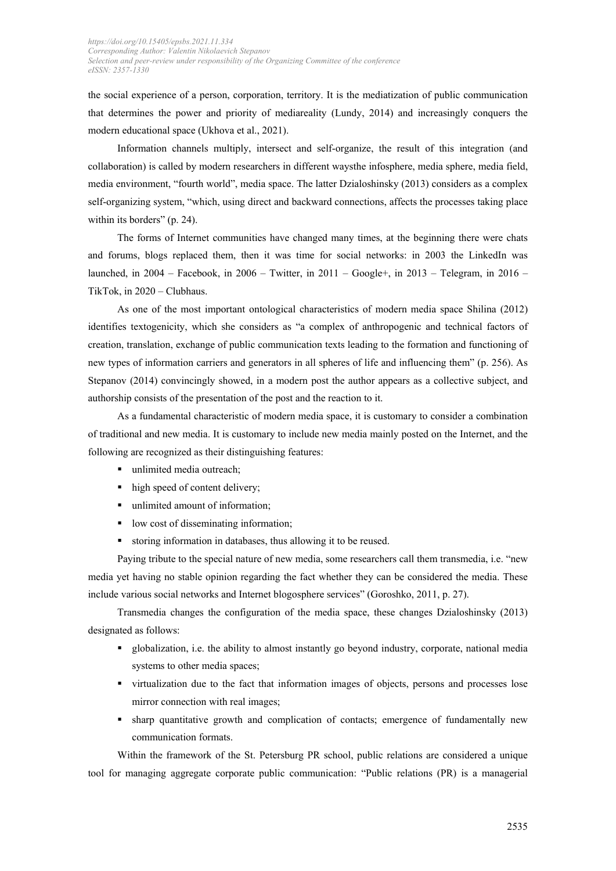the social experience of a person, corporation, territory. It is the mediatization of public communication that determines the power and priority of mediareality (Lundy, 2014) and increasingly conquers the modern educational space (Ukhova et al., 2021).

Information channels multiply, intersect and self-organize, the result of this integration (and collaboration) is called by modern researchers in different waysthe infosphere, media sphere, media field, media environment, "fourth world", media space. The latter Dzialoshinsky (2013) considers as a complex self-organizing system, "which, using direct and backward connections, affects the processes taking place within its borders" (p. 24).

The forms of Internet communities have changed many times, at the beginning there were chats and forums, blogs replaced them, then it was time for social networks: in 2003 the LinkedIn was launched, in  $2004$  – Facebook, in  $2006$  – Twitter, in  $2011$  – Google+, in  $2013$  – Telegram, in  $2016$  – TikTok, in 2020 – Clubhaus.

As one of the most important ontological characteristics of modern media space Shilina (2012) identifies textogenicity, which she considers as "a complex of anthropogenic and technical factors of creation, translation, exchange of public communication texts leading to the formation and functioning of new types of information carriers and generators in all spheres of life and influencing them" (p. 256). As Stepanov (2014) convincingly showed, in a modern post the author appears as a collective subject, and authorship consists of the presentation of the post and the reaction to it.

As a fundamental characteristic of modern media space, it is customary to consider a combination of traditional and new media. It is customary to include new media mainly posted on the Internet, and the following are recognized as their distinguishing features:

- unlimited media outreach;
- high speed of content delivery;
- unlimited amount of information:
- low cost of disseminating information;
- storing information in databases, thus allowing it to be reused.

Paying tribute to the special nature of new media, some researchers call them transmedia, i.e. "new media yet having no stable opinion regarding the fact whether they can be considered the media. These include various social networks and Internet blogosphere services" (Goroshko, 2011, p. 27).

Transmedia changes the configuration of the media space, these changes Dzialoshinsky (2013) designated as follows:

- globalization, i.e. the ability to almost instantly go beyond industry, corporate, national media systems to other media spaces;
- virtualization due to the fact that information images of objects, persons and processes lose mirror connection with real images;
- sharp quantitative growth and complication of contacts; emergence of fundamentally new communication formats.

Within the framework of the St. Petersburg PR school, public relations are considered a unique tool for managing aggregate corporate public communication: "Public relations (PR) is a managerial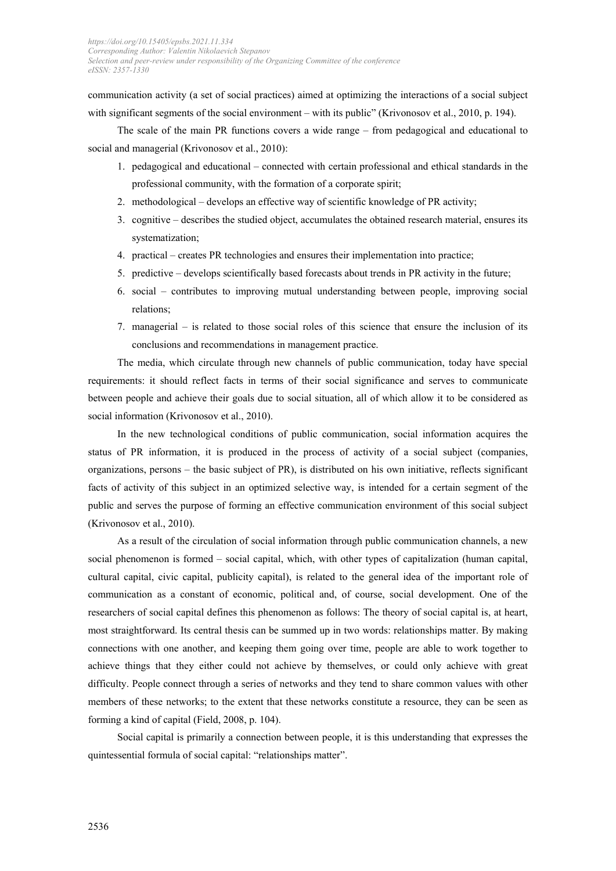communication activity (a set of social practices) aimed at optimizing the interactions of a social subject with significant segments of the social environment – with its public" (Krivonosov et al., 2010, p. 194).

The scale of the main PR functions covers a wide range – from pedagogical and educational to social and managerial (Krivonosov et al., 2010):

- 1. pedagogical and educational connected with certain professional and ethical standards in the professional community, with the formation of a corporate spirit;
- 2. methodological develops an effective way of scientific knowledge of PR activity;
- 3. cognitive describes the studied object, accumulates the obtained research material, ensures its systematization;
- 4. practical creates PR technologies and ensures their implementation into practice;
- 5. predictive develops scientifically based forecasts about trends in PR activity in the future;
- 6. social contributes to improving mutual understanding between people, improving social relations;
- 7. managerial is related to those social roles of this science that ensure the inclusion of its conclusions and recommendations in management practice.

The media, which circulate through new channels of public communication, today have special requirements: it should reflect facts in terms of their social significance and serves to communicate between people and achieve their goals due to social situation, all of which allow it to be considered as social information (Krivonosov et al., 2010).

In the new technological conditions of public communication, social information acquires the status of PR information, it is produced in the process of activity of a social subject (companies, organizations, persons – the basic subject of PR), is distributed on his own initiative, reflects significant facts of activity of this subject in an optimized selective way, is intended for a certain segment of the public and serves the purpose of forming an effective communication environment of this social subject (Krivonosov et al., 2010).

As a result of the circulation of social information through public communication channels, a new social phenomenon is formed – social capital, which, with other types of capitalization (human capital, cultural capital, civic capital, publicity capital), is related to the general idea of the important role of communication as a constant of economic, political and, of course, social development. One of the researchers of social capital defines this phenomenon as follows: The theory of social capital is, at heart, most straightforward. Its central thesis can be summed up in two words: relationships matter. By making connections with one another, and keeping them going over time, people are able to work together to achieve things that they either could not achieve by themselves, or could only achieve with great difficulty. People connect through a series of networks and they tend to share common values with other members of these networks; to the extent that these networks constitute a resource, they can be seen as forming a kind of capital (Field, 2008, p. 104).

Social capital is primarily a connection between people, it is this understanding that expresses the quintessential formula of social capital: "relationships matter".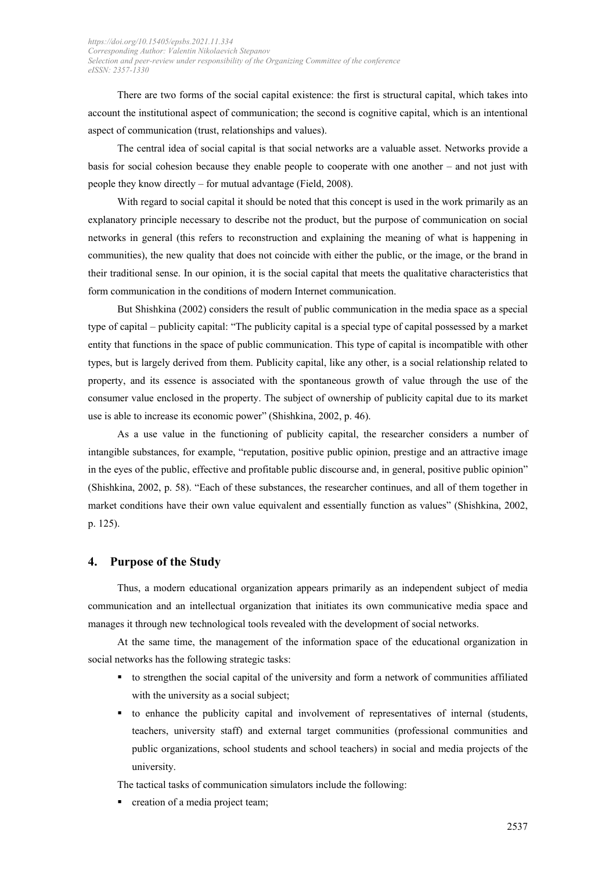There are two forms of the social capital existence: the first is structural capital, which takes into account the institutional aspect of communication; the second is cognitive capital, which is an intentional aspect of communication (trust, relationships and values).

The central idea of social capital is that social networks are a valuable asset. Networks provide a basis for social cohesion because they enable people to cooperate with one another – and not just with people they know directly – for mutual advantage (Field, 2008).

With regard to social capital it should be noted that this concept is used in the work primarily as an explanatory principle necessary to describe not the product, but the purpose of communication on social networks in general (this refers to reconstruction and explaining the meaning of what is happening in communities), the new quality that does not coincide with either the public, or the image, or the brand in their traditional sense. In our opinion, it is the social capital that meets the qualitative characteristics that form communication in the conditions of modern Internet communication.

But Shishkina (2002) considers the result of public communication in the media space as a special type of capital – publicity capital: "The publicity capital is a special type of capital possessed by a market entity that functions in the space of public communication. This type of capital is incompatible with other types, but is largely derived from them. Publicity capital, like any other, is a social relationship related to property, and its essence is associated with the spontaneous growth of value through the use of the consumer value enclosed in the property. The subject of ownership of publicity capital due to its market use is able to increase its economic power" (Shishkina, 2002, p. 46).

As a use value in the functioning of publicity capital, the researcher considers a number of intangible substances, for example, "reputation, positive public opinion, prestige and an attractive image in the eyes of the public, effective and profitable public discourse and, in general, positive public opinion" (Shishkina, 2002, p. 58). "Each of these substances, the researcher continues, and all of them together in market conditions have their own value equivalent and essentially function as values" (Shishkina, 2002, p. 125).

#### **4. Purpose of the Study**

Thus, a modern educational organization appears primarily as an independent subject of media communication and an intellectual organization that initiates its own communicative media space and manages it through new technological tools revealed with the development of social networks.

At the same time, the management of the information space of the educational organization in social networks has the following strategic tasks:

- to strengthen the social capital of the university and form a network of communities affiliated with the university as a social subject;
- to enhance the publicity capital and involvement of representatives of internal (students, teachers, university staff) and external target communities (professional communities and public organizations, school students and school teachers) in social and media projects of the university.

The tactical tasks of communication simulators include the following:

**•** creation of a media project team;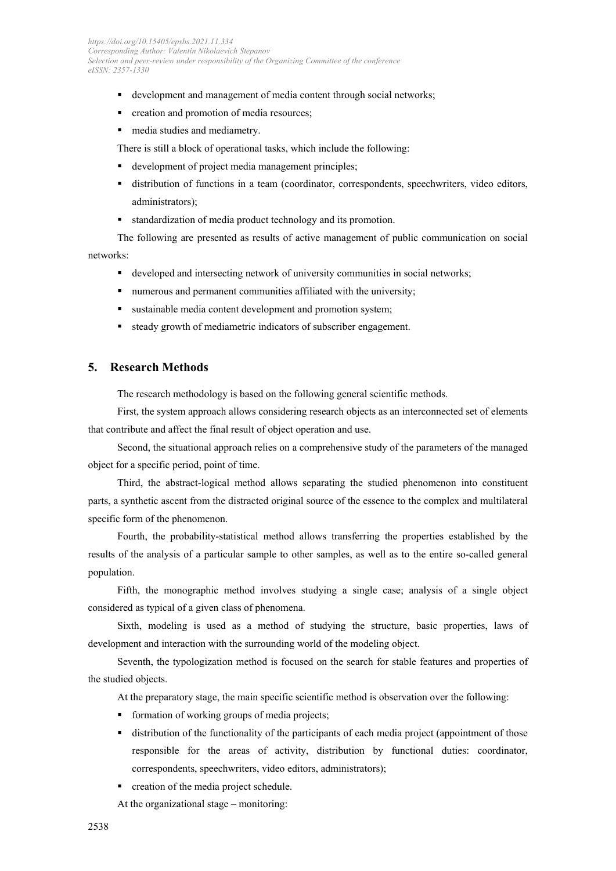- development and management of media content through social networks;
- **•** creation and promotion of media resources;
- media studies and mediametry.

There is still a block of operational tasks, which include the following:

- development of project media management principles;
- distribution of functions in a team (coordinator, correspondents, speechwriters, video editors, administrators);
- standardization of media product technology and its promotion.

The following are presented as results of active management of public communication on social networks:

- developed and intersecting network of university communities in social networks;
- numerous and permanent communities affiliated with the university;
- sustainable media content development and promotion system;
- steady growth of mediametric indicators of subscriber engagement.

# **5. Research Methods**

The research methodology is based on the following general scientific methods.

First, the system approach allows considering research objects as an interconnected set of elements that contribute and affect the final result of object operation and use.

Second, the situational approach relies on a comprehensive study of the parameters of the managed object for a specific period, point of time.

Third, the abstract-logical method allows separating the studied phenomenon into constituent parts, a synthetic ascent from the distracted original source of the essence to the complex and multilateral specific form of the phenomenon.

Fourth, the probability-statistical method allows transferring the properties established by the results of the analysis of a particular sample to other samples, as well as to the entire so-called general population.

Fifth, the monographic method involves studying a single case; analysis of a single object considered as typical of a given class of phenomena.

Sixth, modeling is used as a method of studying the structure, basic properties, laws of development and interaction with the surrounding world of the modeling object.

Seventh, the typologization method is focused on the search for stable features and properties of the studied objects.

At the preparatory stage, the main specific scientific method is observation over the following:

- **formation of working groups of media projects;**
- distribution of the functionality of the participants of each media project (appointment of those responsible for the areas of activity, distribution by functional duties: coordinator, correspondents, speechwriters, video editors, administrators);
- creation of the media project schedule.

At the organizational stage – monitoring: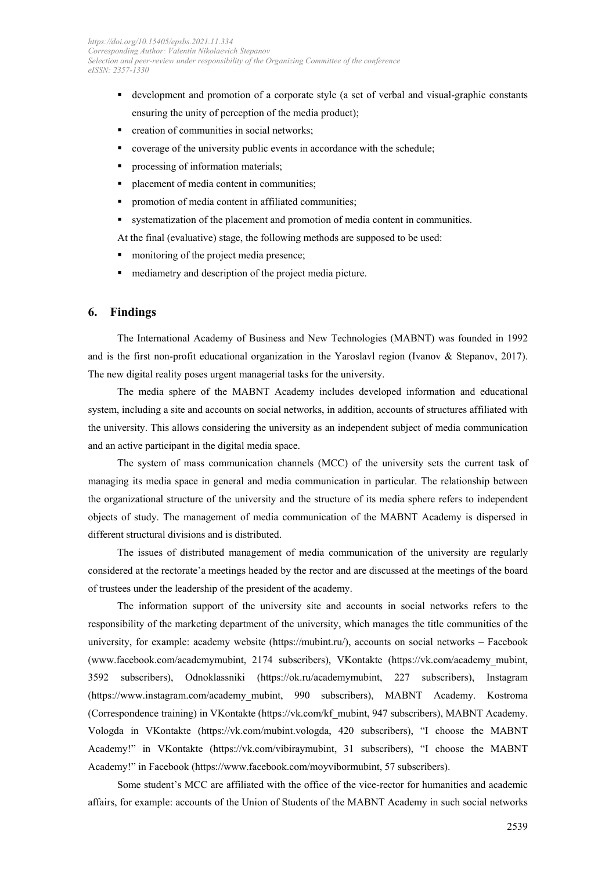- development and promotion of a corporate style (a set of verbal and visual-graphic constants ensuring the unity of perception of the media product);
- creation of communities in social networks;
- coverage of the university public events in accordance with the schedule;
- processing of information materials;
- placement of media content in communities;
- promotion of media content in affiliated communities;
- systematization of the placement and promotion of media content in communities.

At the final (evaluative) stage, the following methods are supposed to be used:

- monitoring of the project media presence;
- mediametry and description of the project media picture.

#### **6. Findings**

The International Academy of Business and New Technologies (MABNT) was founded in 1992 and is the first non-profit educational organization in the Yaroslavl region (Ivanov & Stepanov, 2017). The new digital reality poses urgent managerial tasks for the university.

The media sphere of the MABNT Academy includes developed information and educational system, including a site and accounts on social networks, in addition, accounts of structures affiliated with the university. This allows considering the university as an independent subject of media communication and an active participant in the digital media space.

The system of mass communication channels (MCC) of the university sets the current task of managing its media space in general and media communication in particular. The relationship between the organizational structure of the university and the structure of its media sphere refers to independent objects of study. The management of media communication of the MABNT Academy is dispersed in different structural divisions and is distributed.

The issues of distributed management of media communication of the university are regularly considered at the rectorate'a meetings headed by the rector and are discussed at the meetings of the board of trustees under the leadership of the president of the academy.

The information support of the university site and accounts in social networks refers to the responsibility of the marketing department of the university, which manages the title communities of the university, for example: academy website [\(https://mubint.ru/\)](https://mubint.ru/), accounts on social networks – Facebook [\(www.facebook.com/academymubint,](https://www.facebook.com/academymubint) 2174 subscribers), VKontakte [\(https://vk.com/academy\\_mubint,](https://vk.com/academy_mubint) 3592 subscribers), Odnoklassniki [\(https://ok.ru/academymubint,](https://ok.ru/academymubint) 227 subscribers), Instagram [\(https://www.instagram.com/academy\\_mubint,](https://www.instagram.com/academy_mubint) 990 subscribers), MABNT Academy. Kostroma (Correspondence training) in VKontakte [\(https://vk.com/kf\\_mubint,](https://vk.com/kf_mubint) 947 subscribers), MABNT Academy. Vologda in VKontakte [\(https://vk.com/mubint.vologda,](https://vk.com/mubint.vologda) 420 subscribers), "I choose the MABNT Academy!" in VKontakte [\(https://vk.com/vibiraymubint,](https://vk.com/vibiraymubint) 31 subscribers), "I choose the MABNT Academy!" in Facebook [\(https://www.facebook.com/moyvibormubint,](https://www.facebook.com/moyvibormubint) 57 subscribers).

Some student's MCC are affiliated with the office of the vice-rector for humanities and academic affairs, for example: accounts of the Union of Students of the MABNT Academy in such social networks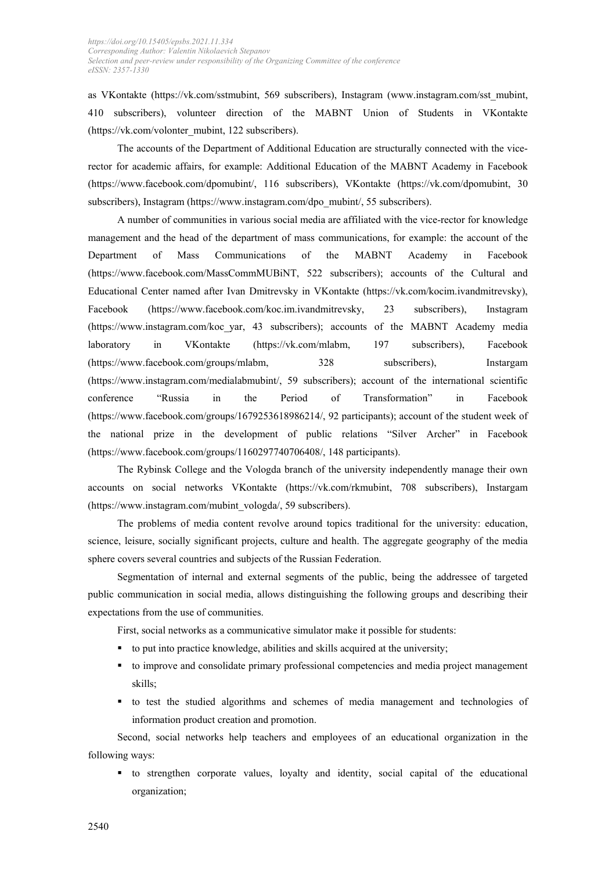as VKontakte [\(https://vk.com/sstmubint,](https://vk.com/sstmubint) 569 subscribers), Instagram [\(www.instagram.com/sst\\_mubint,](http://www.instagram.com/sst_mubint) 410 subscribers), volunteer direction of the MABNT Union of Students in VKontakte [\(https://vk.com/volonter\\_mubint,](https://vk.com/volonter_mubint) 122 subscribers).

The accounts of the Department of Additional Education are structurally connected with the vicerector for academic affairs, for example: Additional Education of the MABNT Academy in Facebook [\(https://www.facebook.com/dpomubint/,](https://www.facebook.com/dpomubint/) 116 subscribers), VKontakte [\(https://vk.com/dpomubint,](https://vk.com/dpomubint) 30 subscribers), Instagram [\(https://www.instagram.com/dpo\\_mubint/,](https://www.instagram.com/dpo_mubint/) 55 subscribers).

A number of communities in various social media are affiliated with the vice-rector for knowledge management and the head of the department of mass communications, for example: the account of the Department of Mass Communications of the MABNT Academy in Facebook [\(https://www.facebook.com/MassCommMUBiNT,](https://www.facebook.com/MassCommMUBiNT) 522 subscribers); accounts of the Cultural and Educational Center named after Ivan Dmitrevsky in VKontakte [\(https://vk.com/kocim.ivandmitrevsky\)](https://vk.com/kocim.ivandmitrevsky), Facebook [\(https://www.facebook.com/koc.im.ivandmitrevsky,](https://www.facebook.com/koc.im.ivandmitrevsky) 23 subscribers), Instagram [\(https://www.instagram.com/koc\\_yar,](https://www.instagram.com/koc_yar) 43 subscribers); accounts of the MABNT Academy media laboratory in VKontakte [\(https://vk.com/mlabm,](https://vk.com/mlabm) 197 subscribers), Facebook [\(https://www.facebook.com/groups/mlabm,](https://www.facebook.com/groups/mlabm) 328 subscribers), Instargam [\(https://www.instagram.com/medialabmubint/,](https://www.instagram.com/medialabmubint/) 59 subscribers); account of the international scientific conference "Russia in the Period of Transformation" in Facebook [\(https://www.facebook.com/groups/1679253618986214/,](https://www.facebook.com/groups/1679253618986214/) 92 participants); account of the student week of the national prize in the development of public relations "Silver Archer" in Facebook [\(https://www.facebook.com/groups/1160297740706408/,](https://www.facebook.com/groups/1160297740706408/) 148 participants).

The Rybinsk College and the Vologda branch of the university independently manage their own accounts on social networks VKontakte [\(https://vk.com/rkmubint,](https://vk.com/rkmubint) 708 subscribers), Instargam [\(https://www.instagram.com/mubint\\_vologda/,](https://www.instagram.com/mubint_vologda/) 59 subscribers).

The problems of media content revolve around topics traditional for the university: education, science, leisure, socially significant projects, culture and health. The aggregate geography of the media sphere covers several countries and subjects of the Russian Federation.

Segmentation of internal and external segments of the public, being the addressee of targeted public communication in social media, allows distinguishing the following groups and describing their expectations from the use of communities.

First, social networks as a communicative simulator make it possible for students:

- to put into practice knowledge, abilities and skills acquired at the university;
- to improve and consolidate primary professional competencies and media project management skills;
- to test the studied algorithms and schemes of media management and technologies of information product creation and promotion.

Second, social networks help teachers and employees of an educational organization in the following ways:

 to strengthen corporate values, loyalty and identity, social capital of the educational organization;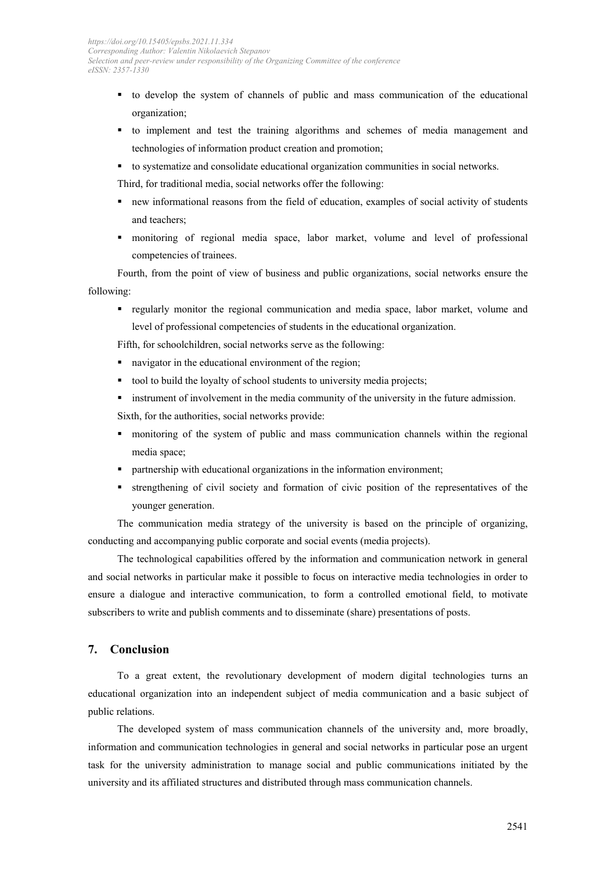- to develop the system of channels of public and mass communication of the educational organization;
- to implement and test the training algorithms and schemes of media management and technologies of information product creation and promotion;
- to systematize and consolidate educational organization communities in social networks.

Third, for traditional media, social networks offer the following:

- new informational reasons from the field of education, examples of social activity of students and teachers;
- monitoring of regional media space, labor market, volume and level of professional competencies of trainees.

Fourth, from the point of view of business and public organizations, social networks ensure the following:

 regularly monitor the regional communication and media space, labor market, volume and level of professional competencies of students in the educational organization.

Fifth, for schoolchildren, social networks serve as the following:

- navigator in the educational environment of the region;
- tool to build the loyalty of school students to university media projects;
- **Example 1** instrument of involvement in the media community of the university in the future admission.
- Sixth, for the authorities, social networks provide:
- monitoring of the system of public and mass communication channels within the regional media space;
- **Partnership with educational organizations in the information environment;**
- strengthening of civil society and formation of civic position of the representatives of the younger generation.

The communication media strategy of the university is based on the principle of organizing, conducting and accompanying public corporate and social events (media projects).

The technological capabilities offered by the information and communication network in general and social networks in particular make it possible to focus on interactive media technologies in order to ensure a dialogue and interactive communication, to form a controlled emotional field, to motivate subscribers to write and publish comments and to disseminate (share) presentations of posts.

#### **7. Conclusion**

To a great extent, the revolutionary development of modern digital technologies turns an educational organization into an independent subject of media communication and a basic subject of public relations.

The developed system of mass communication channels of the university and, more broadly, information and communication technologies in general and social networks in particular pose an urgent task for the university administration to manage social and public communications initiated by the university and its affiliated structures and distributed through mass communication channels.